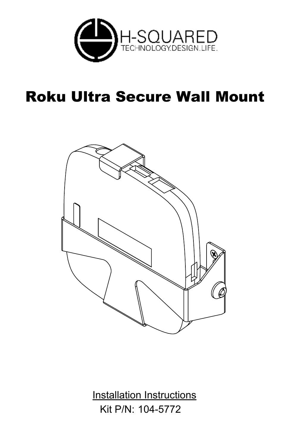

# Roku Ultra Secure Wall Mount



Kit P/N: 104-5772 Installation Instructions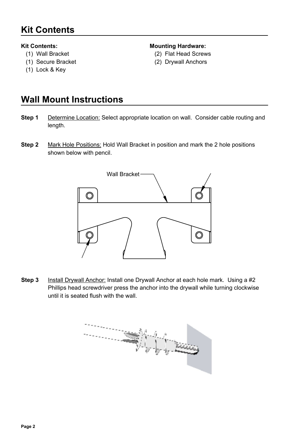# **Kit Contents**

#### **Kit Contents:**

- (1) Wall Bracket
- (1) Secure Bracket
- (1) Lock & Key

#### **Mounting Hardware:**

- (2) Flat Head Screws
- (2) Drywall Anchors

### **Wall Mount Instructions**

- Determine Location: Select appropriate location on wall. Consider cable routing and length. **Step 1**
- **Step 2** Mark Hole Positions: Hold Wall Bracket in position and mark the 2 hole positions shown below with pencil.



Install Drywall Anchor: Install one Drywall Anchor at each hole mark. Using a #2 Phillips head screwdriver press the anchor into the drywall while turning clockwise until it is seated flush with the wall. **Step 3**

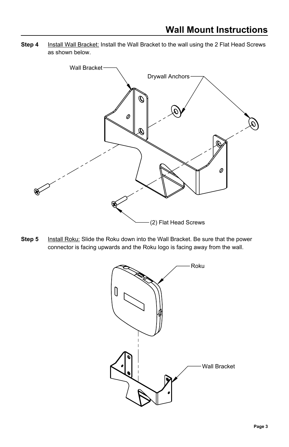**Step 4** Install Wall Bracket: Install the Wall Bracket to the wall using the 2 Flat Head Screws as shown below.



**Step 5** Install Roku: Slide the Roku down into the Wall Bracket. Be sure that the power connector is facing upwards and the Roku logo is facing away from the wall.